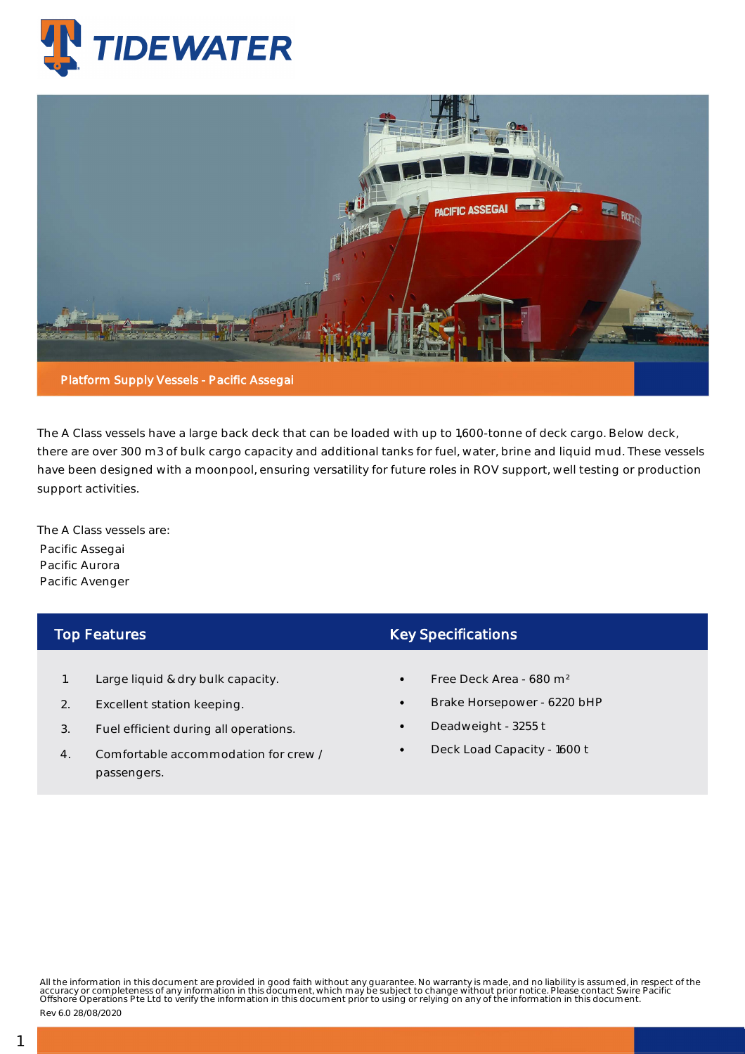



The A Class vessels have a large back deck that can be loaded with up to 1,600-tonne of deck cargo. Below deck, there are over 300 m3 of bulk cargo capacity and additional tanks for fuel, water, brine and liquid mud. These vessels have been designed with a moonpool, ensuring versatility for future roles in ROV support, well testing or production support activities.

The A Class vessels are: Pacific Assegai Pacific Aurora Pacific Avenger

## Top Features

- 1. Large liquid & dry bulk capacity.
- 2. Excellent station keeping.
- 3. Fuel efficient during all operations.
- 4. Comfortable accommodation for crew / passengers.

## Key Specifications

- Free Deck Area 680 m²
- Brake Horsepower 6220 bHP
- Deadweight 3255 t
- Deck Load Capacity 1600 t

All the information in this document are provided in good faith without any guarantee. No warranty is made, and no liability is assumed, in respect of the<br>accuracy or completeness of any information in this document, which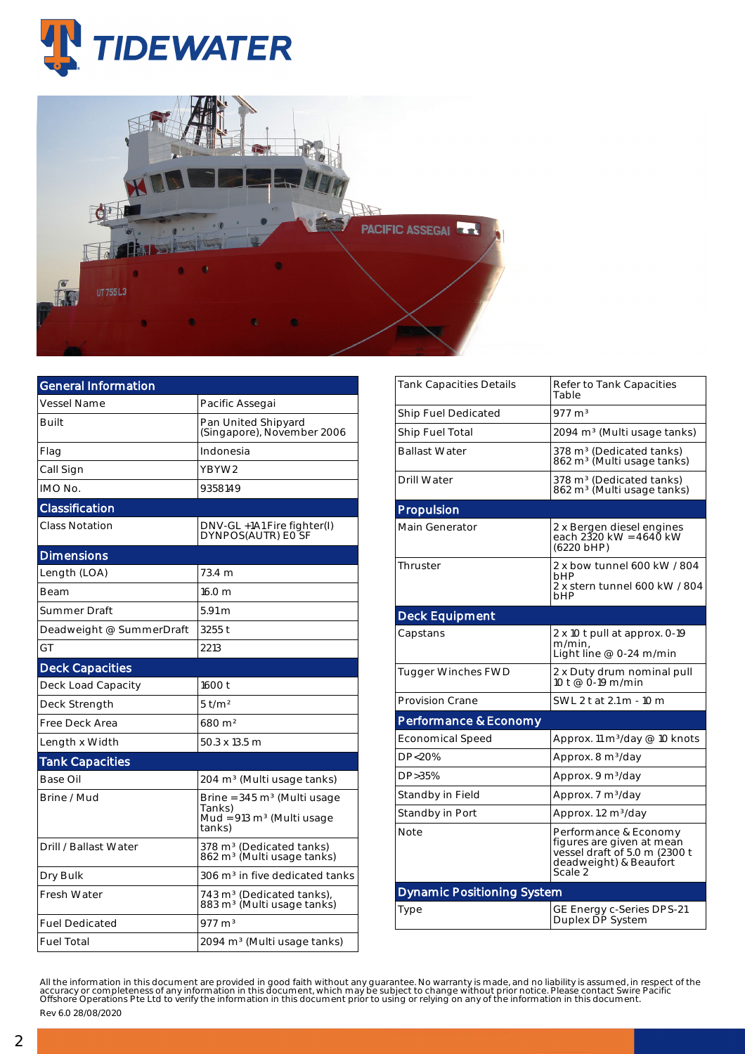



| <b>General Information</b> |                                                                                                    |  |  |  |
|----------------------------|----------------------------------------------------------------------------------------------------|--|--|--|
| <b>Vessel Name</b>         | Pacific Assegai                                                                                    |  |  |  |
| <b>Built</b>               | Pan United Shipyard<br>(Singapore), November 2006                                                  |  |  |  |
| Flag                       | Indonesia                                                                                          |  |  |  |
| Call Sign                  | YBYW2                                                                                              |  |  |  |
| IMO No.                    | 9358149                                                                                            |  |  |  |
| Classification             |                                                                                                    |  |  |  |
| Class Notation             | DNV-GL +1A1 Fire fighter(I)<br>DYNPOS(AUTR) EO SF                                                  |  |  |  |
| <b>Dimensions</b>          |                                                                                                    |  |  |  |
| Length (LOA)               | 73.4 m                                                                                             |  |  |  |
| Beam                       | 16.0 m                                                                                             |  |  |  |
| Summer Draft               | $5.91 \text{ m}$                                                                                   |  |  |  |
| Deadweight @ SummerDraft   | 3255t                                                                                              |  |  |  |
| GT                         | 2213                                                                                               |  |  |  |
| <b>Deck Capacities</b>     |                                                                                                    |  |  |  |
| Deck Load Capacity         | 1600 t                                                                                             |  |  |  |
| Deck Strength              | $5$ t/m <sup>2</sup>                                                                               |  |  |  |
| Free Deck Area             | 680 m <sup>2</sup>                                                                                 |  |  |  |
| Length x Width             | 50.3 x 13.5 m                                                                                      |  |  |  |
| <b>Tank Capacities</b>     |                                                                                                    |  |  |  |
| Base Oil                   | 204 m <sup>3</sup> (Multi usage tanks)                                                             |  |  |  |
| Brine / Mud                | Brine = $345 \text{ m}^3$ (Multi usage<br>Tanks)<br>Mud = $913 \text{ m}^3$ (Multi usage<br>tanks) |  |  |  |
| Drill / Ballast Water      | 378 m <sup>3</sup> (Dedicated tanks)<br>862 m <sup>3</sup> (Multi usage tanks)                     |  |  |  |
| Dry Bulk                   | 306 m <sup>3</sup> in five dedicated tanks                                                         |  |  |  |
| <b>Fresh Water</b>         | 743 m <sup>3</sup> (Dedicated tanks),<br>883 m <sup>3</sup> (Multi usage tanks)                    |  |  |  |
| <b>Fuel Dedicated</b>      | $977 \text{ m}^3$                                                                                  |  |  |  |
| <b>Fuel Total</b>          | 2094 m <sup>3</sup> (Multi usage tanks)                                                            |  |  |  |

| <b>Tank Capacities Details</b>    | Refer to Tank Capacities<br>Table                                                                                        |  |  |  |  |  |
|-----------------------------------|--------------------------------------------------------------------------------------------------------------------------|--|--|--|--|--|
| Ship Fuel Dedicated               | $977 \; \mathrm{m}^3$                                                                                                    |  |  |  |  |  |
| Ship Fuel Total                   | 2094 m <sup>3</sup> (Multi usage tanks)                                                                                  |  |  |  |  |  |
| <b>Ballast Water</b>              | 378 m <sup>3</sup> (Dedicated tanks)<br>862 m <sup>3</sup> (Multi usage tanks)                                           |  |  |  |  |  |
| Drill Water                       | 378 m <sup>3</sup> (Dedicated tanks)<br>862 m <sup>3</sup> (Multi usage tanks)                                           |  |  |  |  |  |
| Propulsion                        |                                                                                                                          |  |  |  |  |  |
| <b>Main Generator</b>             | 2 x Bergen diesel engines<br>each 2320 kW = 4640 kW<br>(6220 bHP)                                                        |  |  |  |  |  |
| Thruster                          | 2 x bow tunnel 600 kW / 804<br><b>bHP</b><br>2 x stern tunnel 600 kW / 804<br>bHP                                        |  |  |  |  |  |
| <b>Deck Equipment</b>             |                                                                                                                          |  |  |  |  |  |
| Capstans                          | 2 x 10 t pull at approx. 0-19<br>m/min.<br>Light line @ 0-24 m/min                                                       |  |  |  |  |  |
| <b>Tugger Winches FWD</b>         | 2 x Duty drum nominal pull<br>10 t @ 0-19 m/min                                                                          |  |  |  |  |  |
| <b>Provision Crane</b>            | SWL 2 t at 2.1 m - 10 m                                                                                                  |  |  |  |  |  |
| Performance & Economy             |                                                                                                                          |  |  |  |  |  |
| Economical Speed                  | Approx. 11 m <sup>3</sup> /day @ 10 knots                                                                                |  |  |  |  |  |
| DP<20%                            | Approx. 8 m <sup>3</sup> /day                                                                                            |  |  |  |  |  |
| DP>35%                            | Approx. 9 m <sup>3</sup> /day                                                                                            |  |  |  |  |  |
| Standby in Field                  | Approx. 7 m <sup>3</sup> /day                                                                                            |  |  |  |  |  |
| Standby in Port                   | Approx. 1.2 m <sup>3</sup> /day                                                                                          |  |  |  |  |  |
| <b>Note</b>                       | Performance & Economy<br>figures are given at mean<br>vessel draft of 5.0 m (2300 t<br>deadweight) & Beaufort<br>Scale 2 |  |  |  |  |  |
| <b>Dynamic Positioning System</b> |                                                                                                                          |  |  |  |  |  |
| Type                              | GE Energy c-Series DPS-21<br>Duplex DP System                                                                            |  |  |  |  |  |

All the information in this document are provided in good faith without any guarantee. No warranty is made, and no liability is assumed, in respect of the<br>accuracy or completeness of any information in this document, which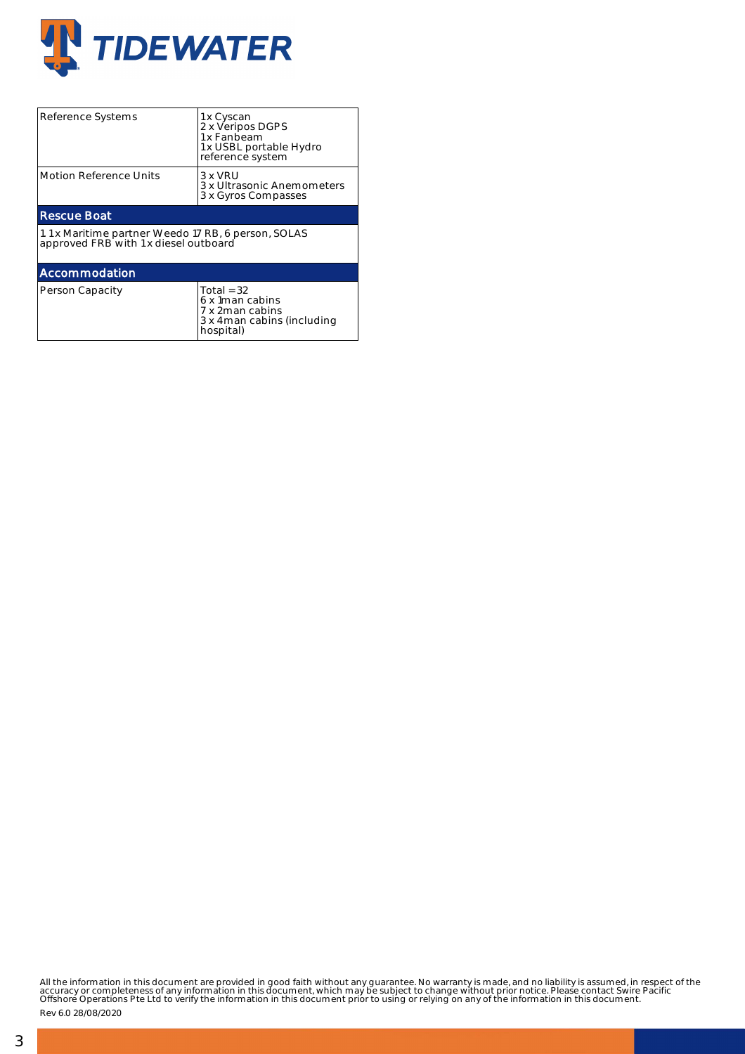

| Reference Systems                                                                            | 1 x Cyscan<br>2 x Veripos DGPS<br>1 x Fanbeam<br>1 x USBL portable Hydro<br>reference system    |  |  |  |  |  |
|----------------------------------------------------------------------------------------------|-------------------------------------------------------------------------------------------------|--|--|--|--|--|
| <b>Motion Reference Units</b>                                                                | $3 \times VRIJ$<br>3 x Ultrasonic Anemometers<br>3 x Gyros Compasses                            |  |  |  |  |  |
| <b>Rescue Boat</b>                                                                           |                                                                                                 |  |  |  |  |  |
| 1.1 x Maritime partner Weedo 17 RB, 6 person, SOLAS<br>approved FRB with 1 x diesel outboard |                                                                                                 |  |  |  |  |  |
| Accommodation                                                                                |                                                                                                 |  |  |  |  |  |
| Person Capacity                                                                              | Total = $32$<br>6 x 1 man cabins<br>7 x 2man cabins<br>3 x 4 man cabins (including<br>hospital) |  |  |  |  |  |

All the information in this document are provided in good faith without any guarantee. No warranty is made, and no liability is assumed, in respect of the<br>accuracy or completeness of any information in this document, which